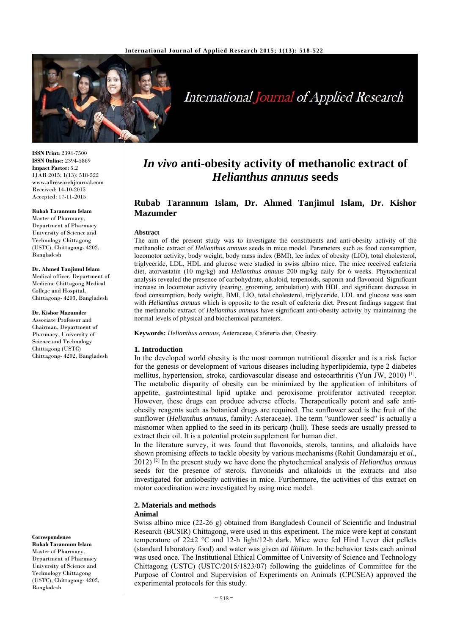

# International Journal of Applied Research

**ISSN Print:** 2394-7500 **ISSN Online:** 2394-5869 **Impact Factor:** 5.2 IJAR 2015; 1(13): 518-522 www.allresearchjournal.com Received: 14-10-2015 Accepted: 17-11-2015

**Rubab Tarannum Islam** Master of Pharmacy,

Department of Pharmacy University of Science and Technology Chittagong (USTC), Chittagong- 4202, Bangladesh

#### **Dr. Ahmed Tanjimul Islam**

Medical officer, Department of Medicine Chittagong Medical College and Hospital, Chittagong- 4203, Bangladesh

#### **Dr. Kishor Mazumder**

Associate Professor and Chairman, Department of Pharmacy, University of Science and Technology Chittagong (USTC) Chittagong- 4202, Bangladesh

**Correspondence Rubab Tarannum Islam** Master of Pharmacy, Department of Pharmacy University of Science and

Technology Chittagong (USTC), Chittagong- 4202, Bangladesh

# *In vivo* **anti-obesity activity of methanolic extract of**  *Helianthus annuus* **seeds**

# **Rubab Tarannum Islam, Dr. Ahmed Tanjimul Islam, Dr. Kishor Mazumder**

#### **Abstract**

The aim of the present study was to investigate the constituents and anti-obesity activity of the methanolic extract of *Helianthus annuus* seeds in mice model. Parameters such as food consumption, locomotor activity, body weight, body mass index (BMI), lee index of obesity (LIO), total cholesterol, triglyceride, LDL, HDL and glucose were studied in swiss albino mice. The mice received cafeteria diet, atorvastatin (10 mg/kg) and *Helianthus annuus* 200 mg/kg daily for 6 weeks. Phytochemical analysis revealed the presence of carbohydrate, alkaloid, terpenoids, saponin and flavonoid. Significant increase in locomotor activity (rearing, grooming, ambulation) with HDL and significant decrease in food consumption, body weight, BMI, LIO, total cholesterol, triglyceride, LDL and glucose was seen with *Helianthus annuus* which is opposite to the result of cafeteria diet. Present findings suggest that the methanolic extract of *Helianthus annuus* have significant anti-obesity activity by maintaining the normal levels of physical and biochemical parameters.

**Keywords:** *Helianthus annuus,* Asteraceae, Cafeteria diet, Obesity.

#### **1. Introduction**

In the developed world obesity is the most common nutritional disorder and is a risk factor for the genesis or development of various diseases including hyperlipidemia, type 2 diabetes mellitus, hypertension, stroke, cardiovascular disease and osteoarthritis (Yun JW, 2010) [1]. The metabolic disparity of obesity can be minimized by the application of inhibitors of appetite, gastrointestinal lipid uptake and peroxisome proliferator activated receptor. However, these drugs can produce adverse effects. Therapeutically potent and safe antiobesity reagents such as botanical drugs are required. The sunflower seed is the fruit of the sunflower (*Helianthus annuus,* family: Asteraceae). The term "sunflower seed" is actually a misnomer when applied to the seed in its pericarp (hull). These seeds are usually pressed to extract their oil. It is a potential protein supplement for human diet.

In the literature survey, it was found that flavonoids, sterols, tannins, and alkaloids have shown promising effects to tackle obesity by various mechanisms (Rohit Gundamaraju *et al.*, 2012) [2] In the present study we have done the phytochemical analysis of *Helianthus annuus*  seeds for the presence of sterols, flavonoids and alkaloids in the extracts and also investigated for antiobesity activities in mice. Furthermore, the activities of this extract on motor coordination were investigated by using mice model.

#### **2. Materials and methods**

#### **Animal**

Swiss albino mice (22-26 g) obtained from Bangladesh Council of Scientific and Industrial Research (BCSIR) Chittagong, were used in this experiment. The mice were kept at constant temperature of 22±2 °C and 12-h light/12-h dark. Mice were fed Hind Lever diet pellets (standard laboratory food) and water was given *ad libitum*. In the behavior tests each animal was used once. The Institutional Ethical Committee of University of Science and Technology Chittagong (USTC) (USTC/2015/1823/07) following the guidelines of Committee for the Purpose of Control and Supervision of Experiments on Animals (CPCSEA) approved the experimental protocols for this study.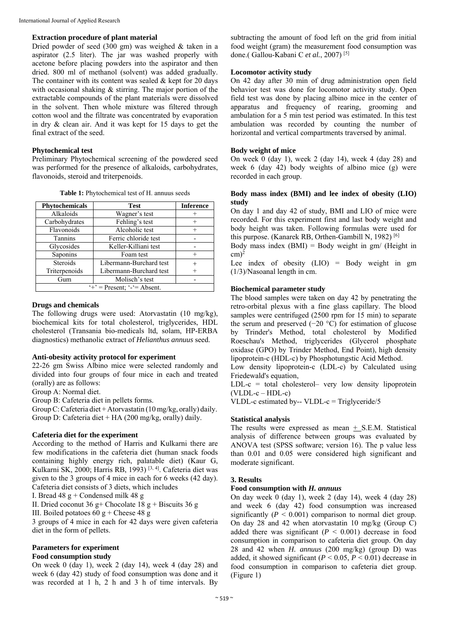#### **Extraction procedure of plant material**

Dried powder of seed (300 gm) was weighed & taken in a aspirator (2.5 liter). The jar was washed properly with acetone before placing powders into the aspirator and then dried. 800 ml of methanol (solvent) was added gradually. The container with its content was sealed  $&$  kept for 20 days with occasional shaking  $&$  stirring. The major portion of the extractable compounds of the plant materials were dissolved in the solvent. Then whole mixture was filtered through cotton wool and the filtrate was concentrated by evaporation in dry & clean air. And it was kept for 15 days to get the final extract of the seed.

#### **Phytochemical test**

Preliminary Phytochemical screening of the powdered seed was performed for the presence of alkaloids, carbohydrates, flavonoids, steroid and triterpenoids.

| <b>Phytochemicals</b>        | <b>Test</b>             | <b>Inference</b> |  |
|------------------------------|-------------------------|------------------|--|
| Alkaloids                    | Wagner's test           |                  |  |
| Carbohydrates                | Fehling's test          | $^+$             |  |
| Flavonoids                   | Alcoholic test          |                  |  |
| Tannins                      | Ferric chloride test    |                  |  |
| Glycosides                   | Keller-Killiani test    |                  |  |
| Saponins                     | Foam test               |                  |  |
| <b>Steroids</b>              | Libermann-Burchard test |                  |  |
| Triterpenoids                | Libermann-Burchard test |                  |  |
| Gum                          | Molisch's test          |                  |  |
| $+$ = Present: $-$ = Absent. |                         |                  |  |

**Table 1:** Phytochemical test of H. annuus seeds

#### **Drugs and chemicals**

The following drugs were used: Atorvastatin (10 mg/kg), biochemical kits for total cholesterol, triglycerides, HDL cholesterol (Transania bio-medicals ltd, solam, HP-ERBA diagnostics) methanolic extract of *Helianthus annuus* seed.

#### **Anti-obesity activity protocol for experiment**

22-26 gm Swiss Albino mice were selected randomly and divided into four groups of four mice in each and treated (orally) are as follows:

Group A: Normal diet.

Group B: Cafeteria diet in pellets forms.

Group C: Cafeteria diet + Atorvastatin (10 mg/kg, orally) daily. Group D: Cafeteria diet + HA (200 mg/kg, orally) daily.

#### **Cafeteria diet for the experiment**

According to the method of Harris and Kulkarni there are few modifications in the cafeteria diet (human snack foods containing highly energy rich, palatable diet) (Kaur G, Kulkarni SK, 2000; Harris RB, 1993)  $[3, 4]$ . Cafeteria diet was given to the 3 groups of 4 mice in each for 6 weeks (42 day). Cafeteria diet consists of 3 diets, which includes

I. Bread  $48 \text{ g} + \text{Condensed milk} 48 \text{ g}$ 

II. Dried coconut 36 g+ Chocolate  $18$  g + Biscuits 36 g

III. Boiled potatoes  $60 g +$ Cheese 48 g

3 groups of 4 mice in each for 42 days were given cafeteria diet in the form of pellets.

# **Parameters for experiment**

**Food consumption study** 

On week 0 (day 1), week 2 (day 14), week 4 (day 28) and week 6 (day 42) study of food consumption was done and it was recorded at 1 h, 2 h and 3 h of time intervals. By

subtracting the amount of food left on the grid from initial food weight (gram) the measurement food consumption was done.( Gallou-Kabani C *et al.*, 2007) [5]

### **Locomotor activity study**

On 42 day after 30 min of drug administration open field behavior test was done for locomotor activity study. Open field test was done by placing albino mice in the center of apparatus and frequency of rearing, grooming and ambulation for a 5 min test period was estimated. In this test ambulation was recorded by counting the number of horizontal and vertical compartments traversed by animal.

#### **Body weight of mice**

On week 0 (day 1), week 2 (day 14), week 4 (day 28) and week 6 (day 42) body weights of albino mice (g) were recorded in each group.

### **Body mass index (BMI) and lee index of obesity (LIO) study**

On day 1 and day 42 of study, BMI and LIO of mice were recorded. For this experiment first and last body weight and body height was taken. Following formulas were used for this purpose. (Kanarek RB, Orthen-Gambill N, 1982) [6]

Body mass index  $(BMI) = Body weight in gm/ (Height in$  $cm)^2$ 

Lee index of obesity  $(LIO) = Body weight in gm$ (1/3)/Nasoanal length in cm.

#### **Biochemical parameter study**

The blood samples were taken on day 42 by penetrating the retro-orbital plexus with a fine glass capillary. The blood samples were centrifuged (2500 rpm for 15 min) to separate the serum and preserved (−20 °C) for estimation of glucose by Trinder's Method, total cholesterol by Modified Roeschau's Method, triglycerides (Glycerol phosphate oxidase (GPO) by Trinder Method, End Point), high density lipoprotein-c (HDL-c) by Phosphotungstic Acid Method.

Low density lipoprotein-c (LDL-c) by Calculated using Friedewald's equation,

 $LDL-c = total cholesterol - very low density lipoprotein$  $(VLDL-c-HDL-c)$ 

VLDL-c estimated by-- VLDL-c = Triglyceride/5

#### **Statistical analysis**

The results were expressed as mean  $+$  S.E.M. Statistical analysis of difference between groups was evaluated by ANOVA test (SPSS software; version 16). The p value less than 0.01 and 0.05 were considered high significant and moderate significant.

#### **3. Results**

#### **Food consumption with** *H. annuus*

On day week 0 (day 1), week 2 (day 14), week 4 (day 28) and week 6 (day 42) food consumption was increased significantly  $(P < 0.001)$  comparison to normal diet group. On day 28 and 42 when atorvastatin 10 mg/kg (Group C) added there was significant  $(P < 0.001)$  decrease in food consumption in comparison to cafeteria diet group. On day 28 and 42 when *H. annuus* (200 mg/kg) (group D) was added, it showed significant  $(P < 0.05, P < 0.01)$  decrease in food consumption in comparison to cafeteria diet group. (Figure 1)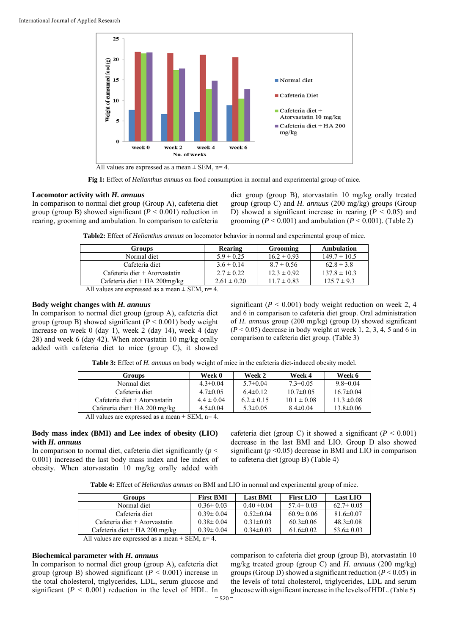

**Fig 1:** Effect of *Helianthus annuus* on food consumption in normal and experimental group of mice.

## **Locomotor activity with** *H. annuus*

In comparison to normal diet group (Group A), cafeteria diet group (group B) showed significant  $(P < 0.001)$  reduction in rearing, grooming and ambulation. In comparison to cafeteria diet group (group B), atorvastatin 10 mg/kg orally treated group (group C) and *H. annuus* (200 mg/kg) groups (Group D) showed a significant increase in rearing  $(P < 0.05)$  and grooming ( $P < 0.001$ ) and ambulation ( $P < 0.001$ ). (Table 2)

**Table2:** Effect of *Helianthus annuus* on locomotor behavior in normal and experimental group of mice.

| <b>Groups</b>                                                      | Rearing         | Grooming        | Ambulation       |
|--------------------------------------------------------------------|-----------------|-----------------|------------------|
| Normal diet                                                        | $5.9 \pm 0.25$  | $16.2 \pm 0.93$ | $149.7 \pm 10.5$ |
| Cafeteria diet                                                     | $3.6 \pm 0.14$  | $8.7 \pm 0.56$  | $62.8 \pm 3.8$   |
| Cafeteria diet + Atorvastatin                                      | $2.7 \pm 0.22$  | $12.3 \pm 0.92$ | $137.8 \pm 10.3$ |
| Cafeteria diet + HA $200$ mg/kg                                    | $2.61 \pm 0.20$ | $11.7 \pm 0.83$ | $125.7 \pm 9.3$  |
| $\lambda$ 11 and the second second second in $\alpha$ in $\lambda$ |                 |                 |                  |

All values are expressed as a mean  $\pm$  SEM, n= 4.

## **Body weight changes with** *H. annuus*

In comparison to normal diet group (group A), cafeteria diet group (group B) showed significant  $(P < 0.001)$  body weight increase on week 0 (day 1), week 2 (day 14), week 4 (day 28) and week 6 (day 42). When atorvastatin 10 mg/kg orally added with cafeteria diet to mice (group C), it showed

significant  $(P < 0.001)$  body weight reduction on week 2, 4 and 6 in comparison to cafeteria diet group. Oral administration of *H. annuus* group (200 mg/kg) (group D) showed significant  $(P < 0.05)$  decrease in body weight at week 1, 2, 3, 4, 5 and 6 in comparison to cafeteria diet group. (Table 3)

**Table 3:** Effect of *H. annuus* on body weight of mice in the cafeteria diet-induced obesity model.

| <b>Groups</b>                                    | Week 0         | Week 2         | Week 4          | Week 6          |
|--------------------------------------------------|----------------|----------------|-----------------|-----------------|
| Normal diet                                      | $4.3 \pm 0.04$ | $5.7 \pm 0.04$ | $7.3 \pm 0.05$  | $9.8 \pm 0.04$  |
| Cafeteria diet                                   | $4.7 \pm 0.05$ | $6.4\pm0.12$   | $10.7 \pm 0.05$ | $16.7 \pm 0.04$ |
| Cafeteria diet + Atorvastatin                    | $4.4 \pm 0.04$ | $6.2 \pm 0.15$ | $10.1 \pm 0.08$ | $11.3 \pm 0.08$ |
| Cafeteria diet+ HA 200 mg/kg                     | $4.5 \pm 0.04$ | $5.3 \pm 0.05$ | $8.4 \pm 0.04$  | $13.8 \pm 0.06$ |
| All values are expressed as a mean $+$ SEM $n=1$ |                |                |                 |                 |

All values are expressed as a mean  $\pm$  SEM, n= 4.

#### **Body mass index (BMI) and Lee index of obesity (LIO) with** *H. annuus*

In comparison to normal diet, cafeteria diet significantly ( $p <$ 0.001) increased the last body mass index and lee index of obesity. When atorvastatin 10 mg/kg orally added with cafeteria diet (group C) it showed a significant ( $P < 0.001$ ) decrease in the last BMI and LIO. Group D also showed significant  $(p \le 0.05)$  decrease in BMI and LIO in comparison to cafeteria diet (group B) (Table 4)

| <b>Groups</b>                 | <b>First BMI</b> | <b>Last BMI</b> | <b>First LIO</b> | Last LIO        |
|-------------------------------|------------------|-----------------|------------------|-----------------|
| Normal diet                   | $0.36 \pm 0.03$  | $0.40 \pm 0.04$ | $57.4 \pm 0.03$  | $62.7 \pm 0.05$ |
| Cafeteria diet                | $0.39 \pm 0.04$  | $0.52 \pm 0.04$ | $60.9 \pm 0.06$  | $81.6 \pm 0.07$ |
| Cafeteria diet + Atorvastatin | $0.38 \pm 0.04$  | $0.31 \pm 0.03$ | $60.3 \pm 0.06$  | $48.3 \pm 0.08$ |
| Cafeteria diet + HA 200 mg/kg | $0.39 \pm 0.04$  | $0.34\pm0.03$   | $61.6 \pm 0.02$  | $53.6 \pm 0.03$ |

All values are expressed as a mean  $\pm$  SEM, n= 4.

# **Biochemical parameter with** *H. annuus*

In comparison to normal diet group (group A), cafeteria diet group (group B) showed significant  $(P < 0.001)$  increase in the total cholesterol, triglycerides, LDL, serum glucose and significant  $(P < 0.001)$  reduction in the level of HDL. In comparison to cafeteria diet group (group B), atorvastatin 10 mg/kg treated group (group C) and *H. annuus* (200 mg/kg) groups (Group D) showed a significant reduction (*P* < 0.05) in the levels of total cholesterol, triglycerides, LDL and serum glucosewith significant increase in the levels of HDL. (Table 5)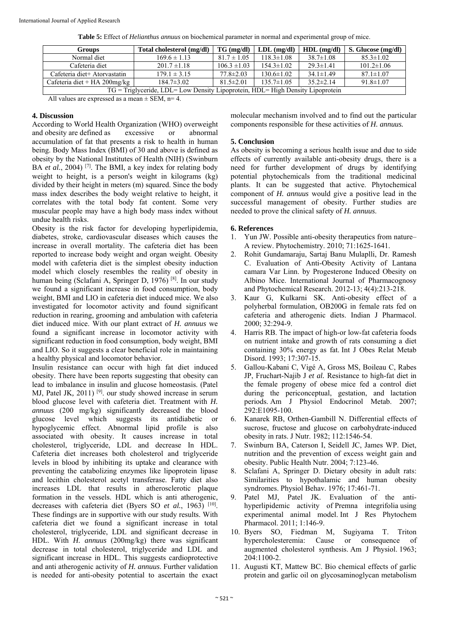| <b>Groups</b>                                                                  | Total cholesterol (mg/dl) | $TG \, (mg/dl)$  | $LDL$ (mg/dl)    | $HDL$ (mg/dl)   | S. Glucose (mg/dl) |
|--------------------------------------------------------------------------------|---------------------------|------------------|------------------|-----------------|--------------------|
| Normal diet                                                                    | $169.6 \pm 1.13$          | $81.7 \pm 1.05$  | $118.3 \pm 1.08$ | $38.7 \pm 1.08$ | $85.3 \pm 1.02$    |
| Cafeteria diet                                                                 | $201.7 \pm 1.18$          | $106.3 \pm 1.03$ | $154.3 \pm 1.02$ | $29.3 \pm 1.41$ | $101.2 \pm 1.06$   |
| Cafeteria diet+ Atorvastatin                                                   | $179.1 \pm 3.15$          | $77.8 \pm 2.03$  | $130.6 \pm 1.02$ | $34.1 \pm 1.49$ | $87.1 \pm 1.07$    |
| Cafeteria diet + HA 200mg/kg                                                   | $184.7 \pm 3.02$          | $81.5 \pm 2.01$  | $135.7 \pm 1.05$ | $35.2 \pm 2.14$ | $91.8 \pm 1.07$    |
| TG = Triglyceride, LDL= Low Density Lipoprotein, HDL= High Density Lipoprotein |                           |                  |                  |                 |                    |

**Table 5:** Effect of *Helianthus annuus* on biochemical parameter in normal and experimental group of mice.

All values are expressed as a mean  $\pm$  SEM, n= 4.

### **4. Discussion**

According to World Health Organization (WHO) overweight and obesity are defined as excessive or abnormal accumulation of fat that presents a risk to health in human being. Body Mass Index (BMI) of 30 and above is defined as obesity by the National Institutes of Health (NIH) (Swinburn BA *et al.*, 2004)<sup>[7]</sup>. The BMI, a key index for relating body weight to height, is a person's weight in kilograms (kg) divided by their height in meters (m) squared. Since the body mass index describes the body weight relative to height, it correlates with the total body fat content. Some very muscular people may have a high body mass index without undue health risks.

Obesity is the risk factor for developing hyperlipidemia, diabetes, stroke, cardiovascular diseases which causes the increase in overall mortality. The cafeteria diet has been reported to increase body weight and organ weight. Obesity model with cafeteria diet is the simplest obesity induction model which closely resembles the reality of obesity in human being (Sclafani A, Springer D, 1976)<sup>[8]</sup>. In our study we found a significant increase in food consumption, body weight, BMI and LIO in cafeteria diet induced mice. We also investigated for locomotor activity and found significant reduction in rearing, grooming and ambulation with cafeteria diet induced mice. With our plant extract of *H. annuus* we found a significant increase in locomotor activity with significant reduction in food consumption, body weight, BMI and LIO. So it suggests a clear beneficial role in maintaining a healthy physical and locomotor behavior.

Insulin resistance can occur with high fat diet induced obesity. There have been reports suggesting that obesity can lead to imbalance in insulin and glucose homeostasis. (Patel MJ, Patel JK, 2011) <sup>[9]</sup>. our study showed increase in serum blood glucose level with cafeteria diet. Treatment with *H. annuus* (200 mg/kg) significantly decreased the blood glucose level which suggests its antidiabetic or hypoglycemic effect. Abnormal lipid profile is also associated with obesity. It causes increase in total cholesterol, triglyceride, LDL and decrease In HDL. Cafeteria diet increases both cholesterol and triglyceride levels in blood by inhibiting its uptake and clearance with preventing the catabolizing enzymes like lipoprotein lipase and lecithin cholesterol acetyl transferase. Fatty diet also increases LDL that results in atherosclerotic plaque formation in the vessels. HDL which is anti atherogenic, decreases with cafeteria diet (Byers SO *et al.*, 1963)<sup>[10]</sup>. These findings are in supportive with our study results. With cafeteria diet we found a significant increase in total cholesterol, triglyceride, LDL and significant decrease in HDL. With *H. annuus* (200mg/kg) there was significant decrease in total cholesterol, triglyceride and LDL and significant increase in HDL. This suggests cardioprotective and anti atherogenic activity of *H. annuus*. Further validation is needed for anti-obesity potential to ascertain the exact

molecular mechanism involved and to find out the particular components responsible for these activities of *H. annuus.*

# **5. Conclusion**

As obesity is becoming a serious health issue and due to side effects of currently available anti-obesity drugs, there is a need for further development of drugs by identifying potential phytochemicals from the traditional medicinal plants. It can be suggested that active. Phytochemical component of *H. annuus* would give a positive lead in the successful management of obesity. Further studies are needed to prove the clinical safety of *H. annuus*.

## **6. References**

- 1. Yun JW. Possible anti-obesity therapeutics from nature– A review. Phytochemistry. 2010; 71:1625-1641.
- 2. Rohit Gundamaraju, Sartaj Banu Mulaplli, Dr. Ramesh C. Evaluation of Anti-Obesity Activity of Lantana camara Var Linn. by Progesterone Induced Obesity on Albino Mice. International Journal of Pharmacognosy and Phytochemical Research. 2012-13; 4(4):213-218.
- 3. Kaur G, Kulkarni SK. Anti-obesity effect of a polyherbal formulation, OB200G in female rats fed on cafeteria and atherogenic diets. Indian J Pharmacol. 2000; 32:294-9.
- 4. Harris RB. The impact of high-or low-fat cafeteria foods on nutrient intake and growth of rats consuming a diet containing 30% energy as fat. Int J Obes Relat Metab Disord. 1993; 17:307-15.
- 5. Gallou-Kabani C, Vigé A, Gross MS, Boileau C, Rabes JP, Fruchart-Najib J *et al.* Resistance to high-fat diet in the female progeny of obese mice fed a control diet during the periconceptual, gestation, and lactation periods. Am J Physiol Endocrinol Metab. 2007; 292:E1095-100.
- 6. Kanarek RB, Orthen-Gambill N. Differential effects of sucrose, fructose and glucose on carbohydrate-induced obesity in rats. J Nutr. 1982; 112:1546-54.
- 7. Swinburn BA, Caterson I, Seidell JC, James WP. Diet, nutrition and the prevention of excess weight gain and obesity. Public Health Nutr. 2004; 7:123-46.
- 8. Sclafani A, Springer D. Dietary obesity in adult rats: Similarities to hypothalamic and human obesity syndromes. Physiol Behav. 1976; 17:461-71.
- Patel MJ, Patel JK. Evaluation of the antihyperlipidemic activity of Premna integrifolia using experimental animal model. Int J Res Phytochem Pharmacol. 2011; 1:146-9.
- 10. Byers SO, Fiedman M, Sugiyama T. Triton hypercholesteremia: Cause or consequence of augmented cholesterol synthesis. Am J Physiol. 1963; 204:1100-2.
- 11. Augusti KT, Mattew BC. Bio chemical effects of garlic protein and garlic oil on glycosaminoglycan metabolism